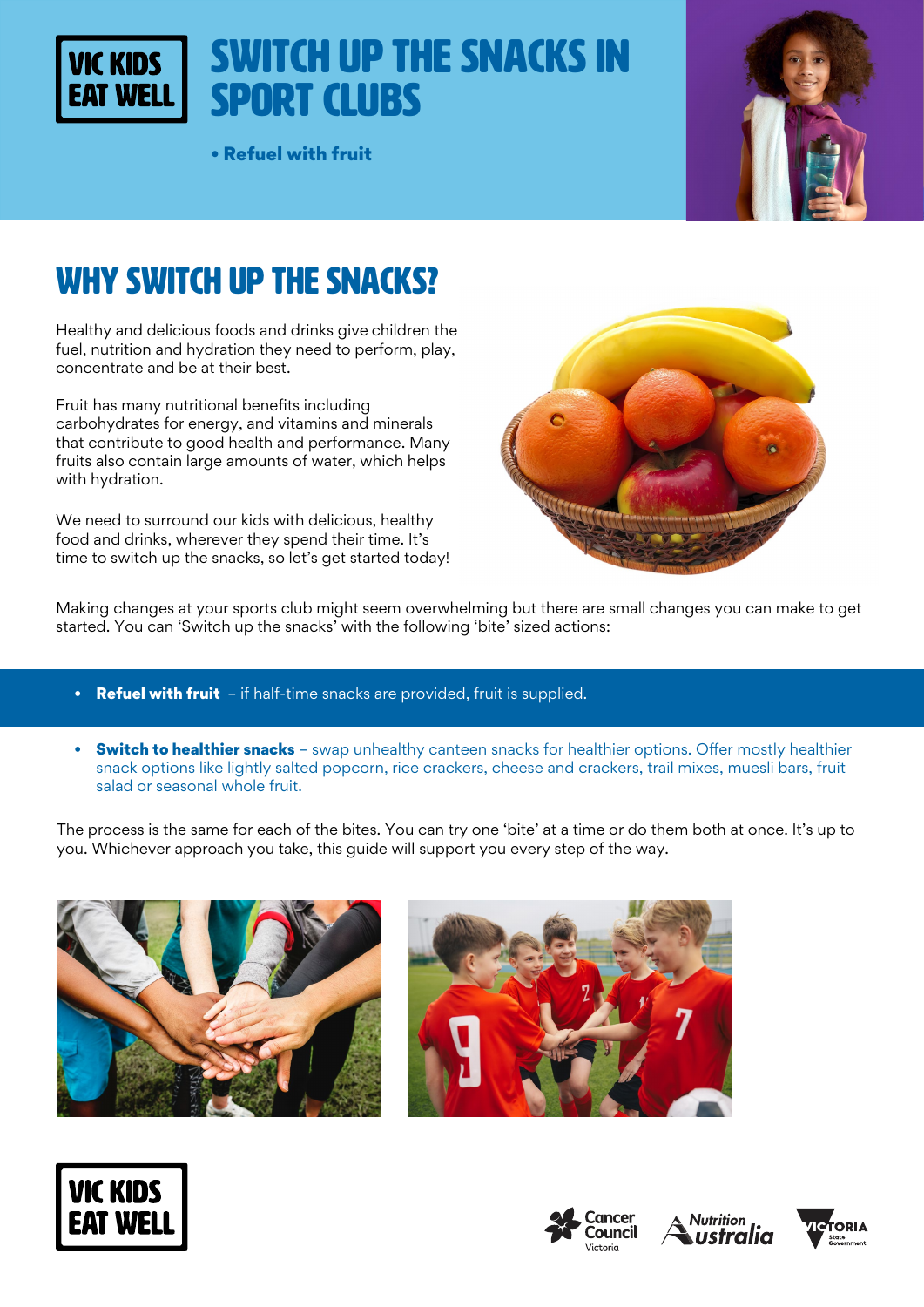# Switch up the snacks in Sport Clubs

• Refuel with fruit



# WHY SWITCH UP THE SNACKS?

**VIC KIDS** 

Healthy and delicious foods and drinks give children the fuel, nutrition and hydration they need to perform, play, concentrate and be at their best.

Fruit has many nutritional benefits including carbohydrates for energy, and vitamins and minerals that contribute to good health and performance. Many fruits also contain large amounts of water, which helps with hydration.

We need to surround our kids with delicious, healthy food and drinks, wherever they spend their time. It's time to switch up the snacks, so let's get started today!



Making changes at your sports club might seem overwhelming but there are small changes you can make to get started. You can 'Switch up the snacks' with the following 'bite' sized actions:

- **Refuel with fruit** if half-time snacks are provided, fruit is supplied.
- Switch to healthier snacks swap unhealthy canteen snacks for healthier options. Offer mostly healthier snack options like lightly salted popcorn, rice crackers, cheese and crackers, trail mixes, muesli bars, fruit salad or seasonal whole fruit.

The process is the same for each of the bites. You can try one 'bite' at a time or do them both at once. It's up to you. Whichever approach you take, this guide will support you every step of the way.











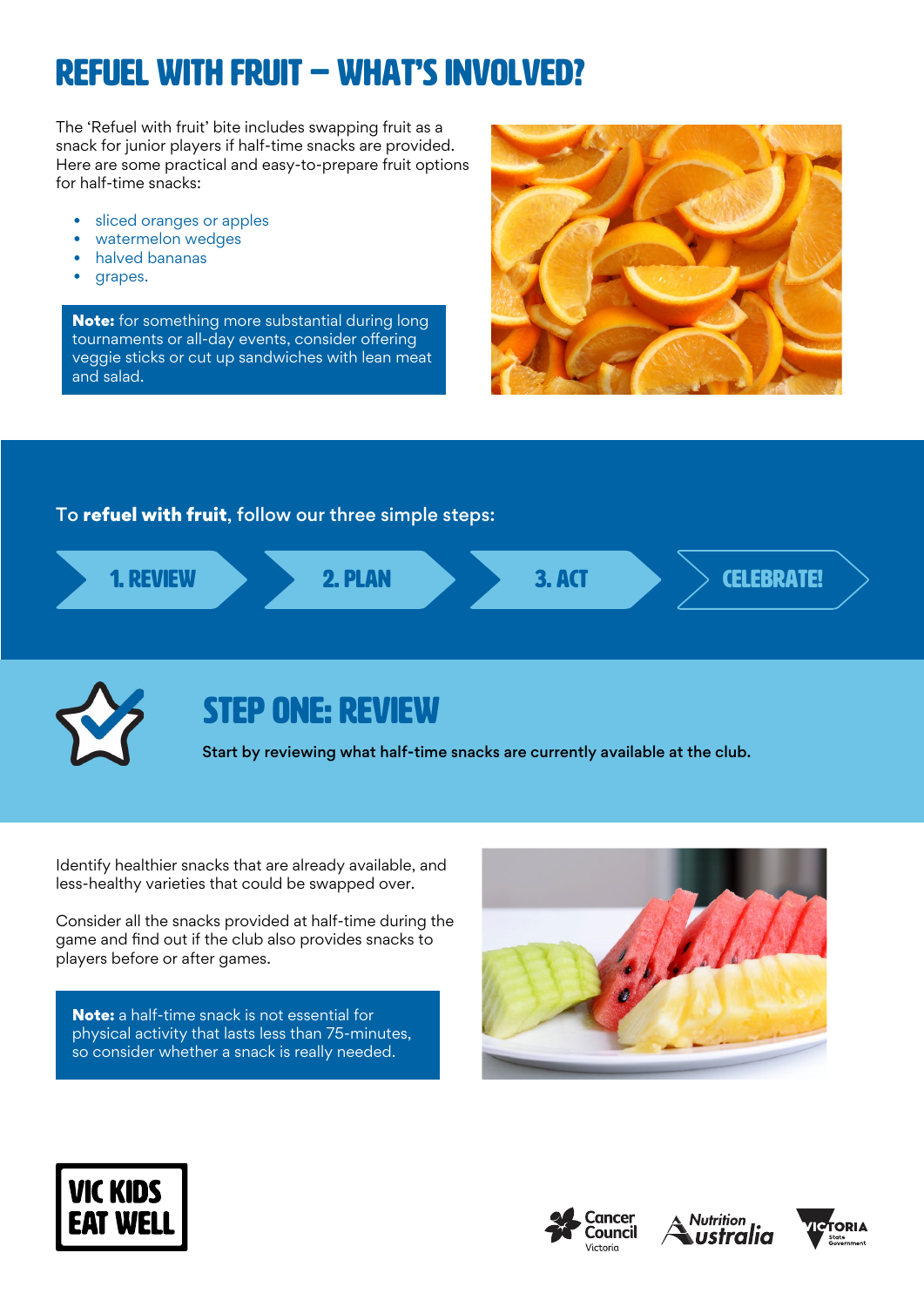# Refuel with Fruit – WHAT'S INVOLVED?

The 'Refuel with fruit' bite includes swapping fruit as a snack for junior players if half-time snacks are provided. Here are some practical and easy-to-prepare fruit options for half-time snacks:

- sliced oranges or apples
- watermelon wedges
- halved bananas
- grapes.

Note: for something more substantial during long tournaments or all-day events, consider offering veggie sticks or cut up sandwiches with lean meat and salad.



### To refuel with fruit, follow our three simple steps:





## STEP ONE: REVIEW

Start by reviewing what half-time snacks are currently available at the club.

Identify healthier snacks that are already available, and less-healthy varieties that could be swapped over.

Consider all the snacks provided at half-time during the game and find out if the club also provides snacks to players before or after games.

Note: a half-time snack is not essential for physical activity that lasts less than 75-minutes, so consider whether a snack is really needed.









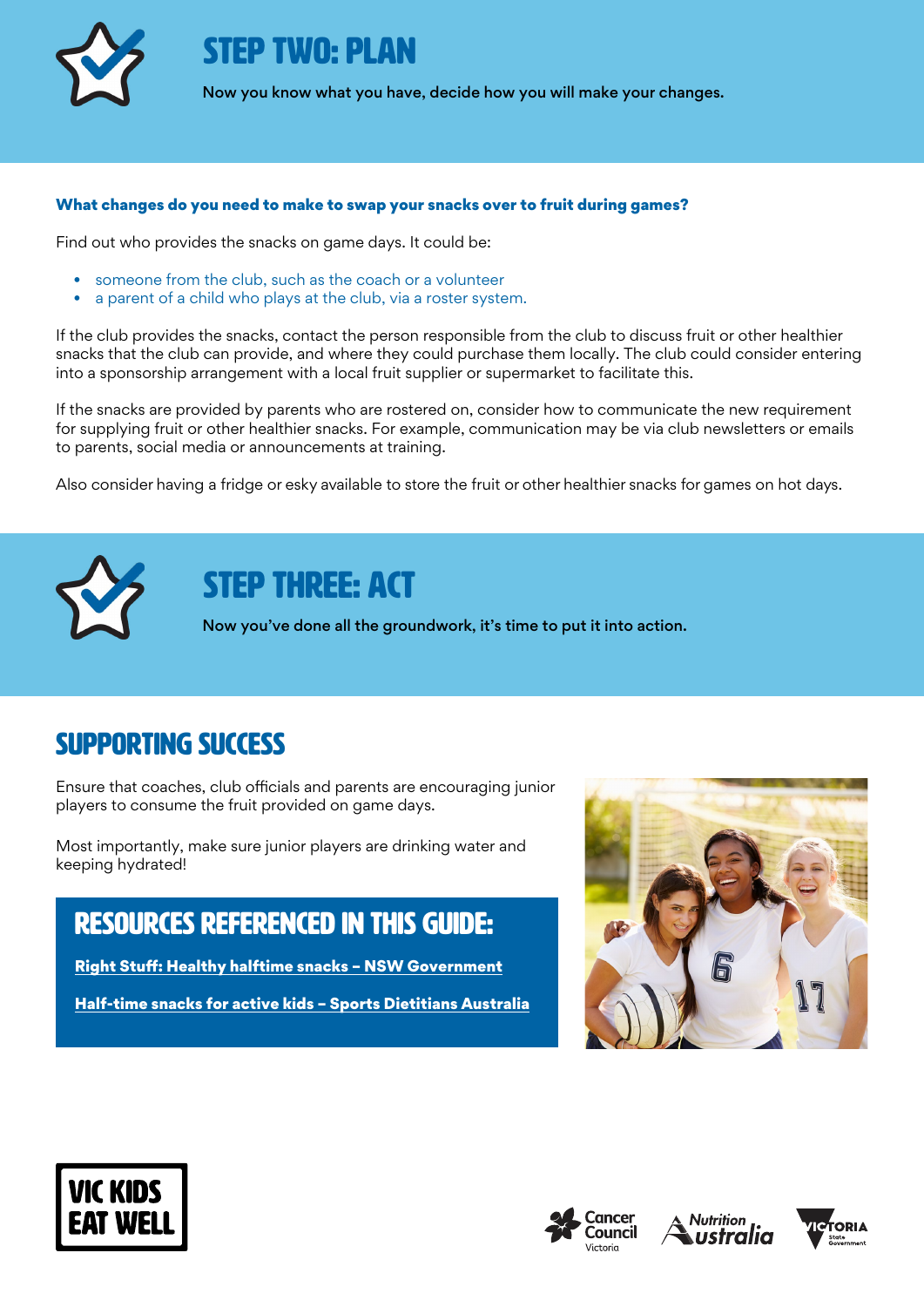

STEP TWO: PLAN

Now you know what you have, decide how you will make your changes.

#### What changes do you need to make to swap your snacks over to fruit during games?

Find out who provides the snacks on game days. It could be:

- someone from the club, such as the coach or a volunteer
- a parent of a child who plays at the club, via a roster system.

If the club provides the snacks, contact the person responsible from the club to discuss fruit or other healthier snacks that the club can provide, and where they could purchase them locally. The club could consider entering into a sponsorship arrangement with a local fruit supplier or supermarket to facilitate this.

If the snacks are provided by parents who are rostered on, consider how to communicate the new requirement for supplying fruit or other healthier snacks. For example, communication may be via club newsletters or emails to parents, social media or announcements at training.

Also consider having a fridge or esky available to store the fruit or other healthier snacks for games on hot days.



## STEP THREE: ACT

Now you've done all the groundwork, it's time to put it into action.

### Supporting success

Ensure that coaches, club officials and parents are encouraging junior players to consume the fruit provided on game days.

Most importantly, make sure junior players are drinking water and keeping hydrated!

### rEsources referenced in this guide:

[Right Stuff: Healthy halftime snacks – NSW Government](https://rightstuff.health.nsw.gov.au/wp-content/uploads/2020/06/healthy-halftime-snacks-V2.pdf)

[Half-time snacks for active kids – Sports Dietitians Australia](https://www.sportsdietitians.com.au/factsheets/children/https-www-sportsdietitians-com-au-wp-content-uploads-2020-01-half-time-snacks-for-active-kids-pdf/)